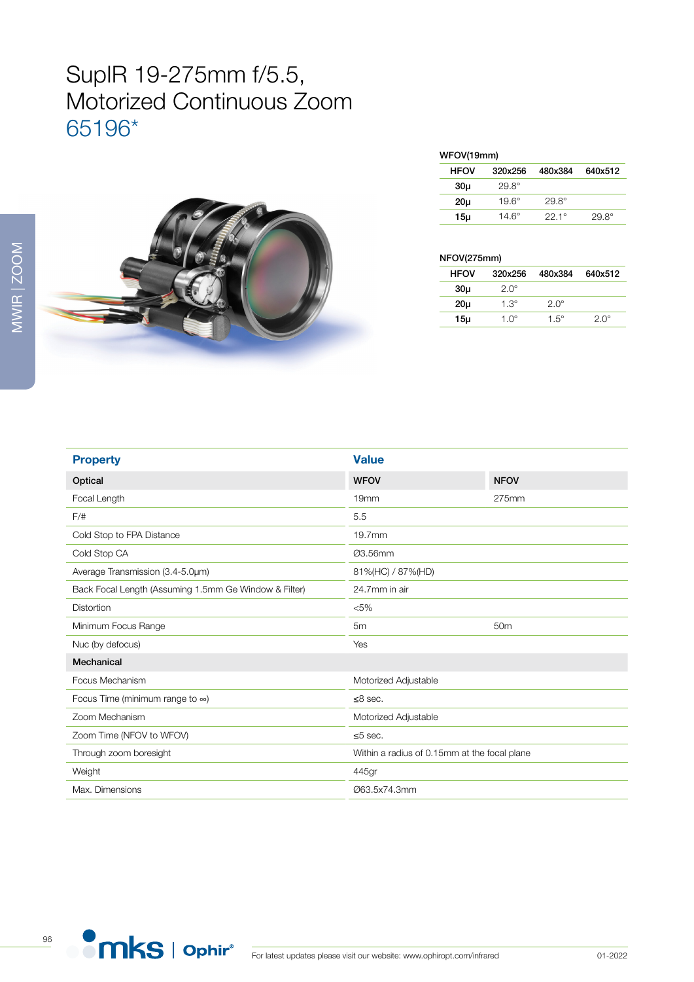## SupIR 19-275mm f/5.5, Motorized Continuous Zoom 65196\*



| WFOV(19mm) |  |
|------------|--|
|            |  |

| .               |              |                |              |  |
|-----------------|--------------|----------------|--------------|--|
| <b>HFOV</b>     | 320x256      | 480x384        | 640x512      |  |
| 30 <sub>µ</sub> | $29.8^\circ$ |                |              |  |
| 20 <sub>µ</sub> | $19.6^\circ$ | $29.8^\circ$   |              |  |
| 15µ             | 14.6°        | $22.1^{\circ}$ | $29.8^\circ$ |  |

## NFOV(275mm)

| <b>HFOV</b>     | 320x256     | 480x384     | 640x512     |
|-----------------|-------------|-------------|-------------|
| 30u             | $2.0^\circ$ |             |             |
| 20 <sub>µ</sub> | $1.3^\circ$ | $2.0^\circ$ |             |
| 15µ             | $1.0^\circ$ | $1.5^\circ$ | $2.0^\circ$ |

| <b>Value</b>                                 |                 |
|----------------------------------------------|-----------------|
| <b>WFOV</b>                                  | <b>NFOV</b>     |
| 19 <sub>mm</sub>                             | 275mm           |
| 5.5                                          |                 |
| 19.7mm                                       |                 |
| Ø3.56mm                                      |                 |
| 81%(HC) / 87%(HD)                            |                 |
| 24.7mm in air                                |                 |
| $< 5\%$                                      |                 |
| 5 <sub>m</sub>                               | 50 <sub>m</sub> |
| Yes                                          |                 |
|                                              |                 |
| Motorized Adjustable                         |                 |
| $\leq$ 8 sec.                                |                 |
| Motorized Adjustable                         |                 |
| $\leq 5$ sec.                                |                 |
| Within a radius of 0.15mm at the focal plane |                 |
| 445gr                                        |                 |
| Ø63.5x74.3mm                                 |                 |
|                                              |                 |